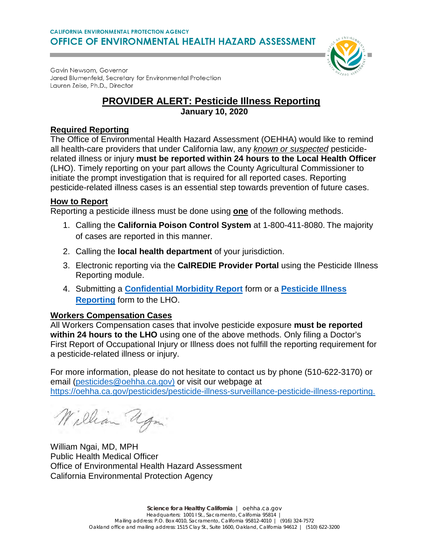Gavin Newsom, Governor Jared Blumenfeld, Secretary for Environmental Protection Lauren Zeise, Ph.D., Director

## **PROVIDER ALERT: Pesticide Illness Reporting**

**January 10, 2020**

## **Required Reporting**

The Office of Environmental Health Hazard Assessment (OEHHA) would like to remind all health-care providers that under California law, any *known or suspected* pesticiderelated illness or injury **must be reported within 24 hours to the Local Health Officer** (LHO). Timely reporting on your part allows the County Agricultural Commissioner to initiate the prompt investigation that is required for all reported cases. Reporting pesticide-related illness cases is an essential step towards prevention of future cases.

### **How to Report**

Reporting a pesticide illness must be done using **one** of the following methods.

- 1. Calling the **California Poison Control System** at 1-800-411-8080. The majority of cases are reported in this manner.
- 2. Calling the **local health department** of your jurisdiction.
- 3. Electronic reporting via the **CalREDIE Provider Portal** using the Pesticide Illness Reporting module.
- 4. Submitting a **[Confidential Morbidity Report](https://www.cdph.ca.gov/CDPH%20Document%20Library/ControlledForms/cdph110a.pdf)** form or a **[Pesticide](https://oehha.ca.gov/media/downloads/pesticides/report/pir99.pdf) Illness [Reporting](https://oehha.ca.gov/media/downloads/pesticides/report/pir99.pdf)** form to the LHO.

## **Workers Compensation Cases**

All Workers Compensation cases that involve pesticide exposure **must be reported within 24 hours to the LHO** using one of the above methods. Only filing a Doctor's First Report of Occupational Injury or Illness does not fulfill the reporting requirement for a pesticide-related illness or injury.

For more information, please do not hesitate to contact us by phone (510-622-3170) or email [\(pesticides@oehha.ca.gov\)](mailto:pesticides@oehha.ca.gov) or visit our webpage at [https://oehha.ca.gov/pesticides/pesticide-illness-surveillance-pesticide-illness-reporting.](https://oehha.ca.gov/pesticides/pesticide-illness-surveillance-pesticide-illness-reporting)

William Ugn

William Ngai, MD, MPH Public Health Medical Officer Office of Environmental Health Hazard Assessment California Environmental Protection Agency